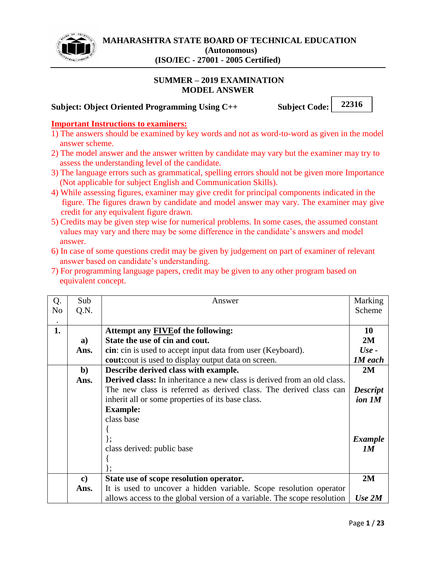

### **SUMMER – 2019 EXAMINATION MODEL ANSWER**

### **Subject: Object Oriented Programming Using C++ Subject Code:**

**22316**

#### **Important Instructions to examiners:**

- 1) The answers should be examined by key words and not as word-to-word as given in the model answer scheme.
- 2) The model answer and the answer written by candidate may vary but the examiner may try to assess the understanding level of the candidate.
- 3) The language errors such as grammatical, spelling errors should not be given more Importance (Not applicable for subject English and Communication Skills).
- 4) While assessing figures, examiner may give credit for principal components indicated in the figure. The figures drawn by candidate and model answer may vary. The examiner may give credit for any equivalent figure drawn.
- 5) Credits may be given step wise for numerical problems. In some cases, the assumed constant values may vary and there may be some difference in the candidate's answers and model answer.
- 6) In case of some questions credit may be given by judgement on part of examiner of relevant answer based on candidate's understanding.
- 7) For programming language papers, credit may be given to any other program based on equivalent concept.

| Q.             | Sub                                                               | Answer                                                                         | Marking        |  |
|----------------|-------------------------------------------------------------------|--------------------------------------------------------------------------------|----------------|--|
| N <sub>0</sub> | Q.N.                                                              |                                                                                | Scheme         |  |
|                |                                                                   |                                                                                |                |  |
| 1.             |                                                                   | Attempt any <b>FIVE</b> of the following:                                      | <b>10</b>      |  |
|                | a)                                                                | State the use of cin and cout.                                                 | 2M             |  |
|                | Ans.                                                              | cin: cin is used to accept input data from user (Keyboard).                    | $Use -$        |  |
|                |                                                                   | <b>cout:</b> cout is used to display output data on screen.                    | <b>1M</b> each |  |
|                | $\mathbf{b}$                                                      | Describe derived class with example.                                           | 2M             |  |
|                | Ans.                                                              | <b>Derived class:</b> In inheritance a new class is derived from an old class. |                |  |
|                | The new class is referred as derived class. The derived class can |                                                                                |                |  |
|                | inherit all or some properties of its base class.                 |                                                                                |                |  |
|                | <b>Example:</b>                                                   |                                                                                |                |  |
|                | class base                                                        |                                                                                |                |  |
|                |                                                                   |                                                                                |                |  |
|                |                                                                   | $\}$ ;                                                                         | <b>Example</b> |  |
|                | class derived: public base                                        |                                                                                | 1M             |  |
|                |                                                                   |                                                                                |                |  |
|                |                                                                   |                                                                                |                |  |
|                | $\bf c)$                                                          | State use of scope resolution operator.                                        | 2M             |  |
|                | Ans.                                                              | It is used to uncover a hidden variable. Scope resolution operator             |                |  |
|                |                                                                   | allows access to the global version of a variable. The scope resolution        | Use 2M         |  |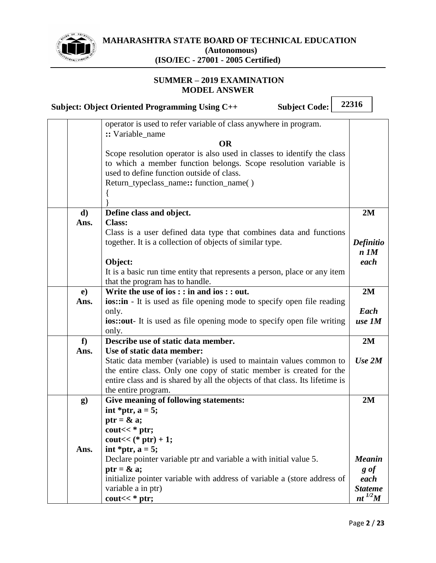

# **MAHARASHTRA STATE BOARD OF TECHNICAL EDUCATION (Autonomous)**

 $\Gamma$ 

# **(ISO/IEC - 27001 - 2005 Certified)**

|              | <b>Subject Code:</b><br><b>Subject: Object Oriented Programming Using C++</b>                                                                                                            | 22316               |  |
|--------------|------------------------------------------------------------------------------------------------------------------------------------------------------------------------------------------|---------------------|--|
|              | operator is used to refer variable of class anywhere in program.<br>:: Variable_name                                                                                                     |                     |  |
|              | <b>OR</b>                                                                                                                                                                                |                     |  |
|              | Scope resolution operator is also used in classes to identify the class<br>to which a member function belongs. Scope resolution variable is<br>used to define function outside of class. |                     |  |
|              | Return_typeclass_name:: function_name()                                                                                                                                                  |                     |  |
| $\mathbf{d}$ | Define class and object.                                                                                                                                                                 | 2M                  |  |
| Ans.         | <b>Class:</b>                                                                                                                                                                            |                     |  |
|              | Class is a user defined data type that combines data and functions                                                                                                                       |                     |  |
|              | together. It is a collection of objects of similar type.                                                                                                                                 | Definitio           |  |
|              |                                                                                                                                                                                          | $n$ $1M$            |  |
|              | Object:                                                                                                                                                                                  | each                |  |
|              | It is a basic run time entity that represents a person, place or any item                                                                                                                |                     |  |
|              | that the program has to handle.                                                                                                                                                          |                     |  |
| e)           | Write the use of $ios$ : $:$ in and $ios$ : $:$ out.                                                                                                                                     | 2M                  |  |
| Ans.         | <b>ios::in</b> - It is used as file opening mode to specify open file reading                                                                                                            | Each                |  |
|              | only.<br><b>ios::out-</b> It is used as file opening mode to specify open file writing                                                                                                   | use 1M              |  |
|              | only.                                                                                                                                                                                    |                     |  |
| f            | Describe use of static data member.                                                                                                                                                      | 2M                  |  |
| Ans.         | Use of static data member:                                                                                                                                                               |                     |  |
|              | Static data member (variable) is used to maintain values common to                                                                                                                       | Use 2M              |  |
|              | the entire class. Only one copy of static member is created for the                                                                                                                      |                     |  |
|              | entire class and is shared by all the objects of that class. Its lifetime is                                                                                                             |                     |  |
|              | the entire program.                                                                                                                                                                      |                     |  |
| g)           | Give meaning of following statements:                                                                                                                                                    | 2M                  |  |
|              | int *ptr, $a = 5$ ;                                                                                                                                                                      |                     |  |
|              | ptr = $\&$ a;                                                                                                                                                                            |                     |  |
|              | cout $<<$ * ptr;                                                                                                                                                                         |                     |  |
|              | cout $<<$ (* ptr) + 1;                                                                                                                                                                   |                     |  |
| Ans.         | int *ptr, $a = 5$ ;                                                                                                                                                                      |                     |  |
|              | Declare pointer variable ptr and variable a with initial value 5.                                                                                                                        | <b>Meanin</b>       |  |
|              | ptr = $\&$ a;<br>initialize pointer variable with address of variable a (store address of                                                                                                | $g \circ f$<br>each |  |
|              | variable a in ptr)                                                                                                                                                                       | <b>Stateme</b>      |  |
|              | cout $<<$ * ptr;                                                                                                                                                                         | nt $^{1/2}M$        |  |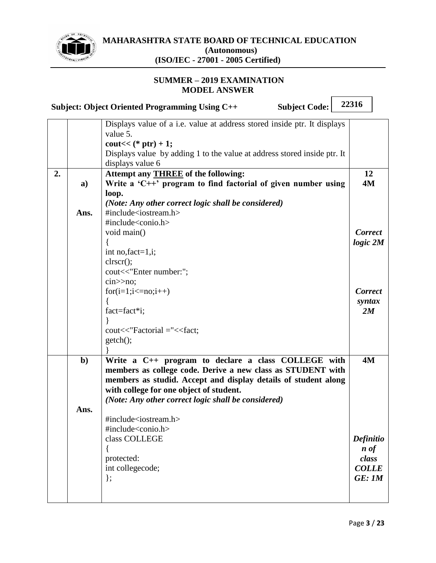

#### **SUMMER – 2019 EXAMINATION MODEL ANSWER**

|    |      | <b>Subject Code:</b><br>Subject: Object Oriented Programming Using C++          | 22316               |  |
|----|------|---------------------------------------------------------------------------------|---------------------|--|
|    |      | Displays value of a <i>i.e.</i> value at address stored inside ptr. It displays |                     |  |
|    |      | value 5.                                                                        |                     |  |
|    |      | cout $<<$ (* ptr) + 1;                                                          |                     |  |
|    |      | Displays value by adding 1 to the value at address stored inside ptr. It        |                     |  |
|    |      | displays value 6                                                                |                     |  |
| 2. |      | Attempt any <b>THREE</b> of the following:                                      | 12                  |  |
|    | a)   | Write a ' $C++$ ' program to find factorial of given number using               | <b>4M</b>           |  |
|    |      | loop.                                                                           |                     |  |
|    |      | (Note: Any other correct logic shall be considered)                             |                     |  |
|    | Ans. | #include <iostream.h></iostream.h>                                              |                     |  |
|    |      | #include <conio.h></conio.h>                                                    |                     |  |
|    |      | void main()                                                                     | <b>Correct</b>      |  |
|    |      |                                                                                 | $logic\ 2M$         |  |
|    |      | int no, fact= $1$ , i;                                                          |                     |  |
|    |      | clrscr();                                                                       |                     |  |
|    |      | cout<<"Enter number:";                                                          |                     |  |
|    |      | cin>no;                                                                         |                     |  |
|    |      | $for(i=1;i<=no;i++)$                                                            | <b>Correct</b>      |  |
|    |      |                                                                                 | syntax              |  |
|    |      | fact=fact*i;                                                                    | 2M                  |  |
|    |      |                                                                                 |                     |  |
|    |      | cout<<"Factorial ="< <fact;< th=""><th></th><th></th></fact;<>                  |                     |  |
|    |      | $getch()$ ;                                                                     |                     |  |
|    |      |                                                                                 |                     |  |
|    | $b$  | Write a C++ program to declare a class COLLEGE with                             | <b>4M</b>           |  |
|    |      | members as college code. Derive a new class as STUDENT with                     |                     |  |
|    |      | members as studid. Accept and display details of student along                  |                     |  |
|    |      | with college for one object of student.                                         |                     |  |
|    |      | (Note: Any other correct logic shall be considered)                             |                     |  |
|    | Ans. |                                                                                 |                     |  |
|    |      | #include <iostream.h></iostream.h>                                              |                     |  |
|    |      | #include <conio.h></conio.h>                                                    |                     |  |
|    |      | class COLLEGE                                                                   | <b>Definitio</b>    |  |
|    |      | í                                                                               | $\boldsymbol{n}$ of |  |
|    |      | protected:                                                                      | class               |  |
|    |      | int collegecode;                                                                | <b>COLLE</b>        |  |
|    |      | $\}$ ;                                                                          | GE:1M               |  |
|    |      |                                                                                 |                     |  |

┑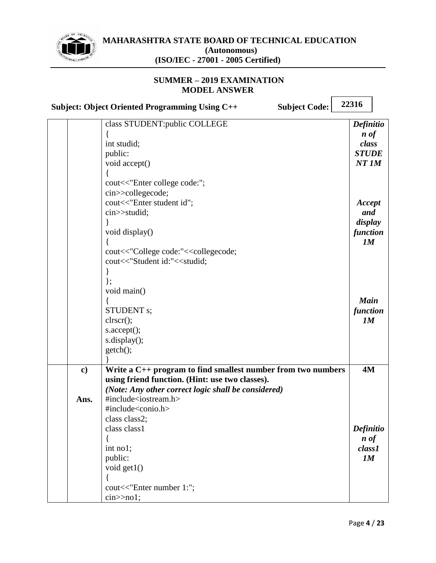

### **SUMMER – 2019 EXAMINATION MODEL ANSWER**

**Subject: Object Oriented Programming Using C++ Subject Code:**

|               | class STUDENT: public COLLEGE                                         | <b>Definitio</b>              |
|---------------|-----------------------------------------------------------------------|-------------------------------|
|               |                                                                       | $\boldsymbol{n}$ of           |
|               | int studid;                                                           | class                         |
|               | public:                                                               | <b>STUDE</b>                  |
|               | void accept()                                                         | $NT$ $1M$                     |
|               |                                                                       |                               |
|               | cout<<"Enter college code:";                                          |                               |
|               | cin>>collegecode;                                                     |                               |
|               | cout<<"Enter student id";                                             | Accept                        |
|               | cin>>studid;                                                          | and                           |
|               |                                                                       | display                       |
|               | void display()                                                        | function                      |
|               |                                                                       | 1M                            |
|               | cout<<"College code:"< <collegecode;< th=""><th></th></collegecode;<> |                               |
|               | cout<<"Student id:"< <studid;< th=""><th></th></studid;<>             |                               |
|               |                                                                       |                               |
|               | $\}$ ;                                                                |                               |
|               | void main()                                                           |                               |
|               |                                                                       | <b>Main</b>                   |
|               | <b>STUDENT</b> s;                                                     | function                      |
|               | clrscr();                                                             | 1M                            |
|               | $s$ . $accept();$                                                     |                               |
|               | s.display();                                                          |                               |
|               | getch();                                                              |                               |
|               |                                                                       |                               |
| $\mathbf{c})$ | Write a $C_{++}$ program to find smallest number from two numbers     | 4M                            |
|               | using friend function. (Hint: use two classes).                       |                               |
|               | (Note: Any other correct logic shall be considered)                   |                               |
| Ans.          | #include <iostream.h></iostream.h>                                    |                               |
|               | #include <conio.h></conio.h>                                          |                               |
|               | class class2;                                                         |                               |
|               | class class1                                                          |                               |
|               |                                                                       | Definitio                     |
|               |                                                                       | $\boldsymbol{n}$ of<br>class1 |
|               | int no1;                                                              |                               |
|               | public:                                                               | 1M                            |
|               | void get1()                                                           |                               |
|               |                                                                       |                               |
|               | cout<<"Enter number 1:";                                              |                               |
|               | cin>1;                                                                |                               |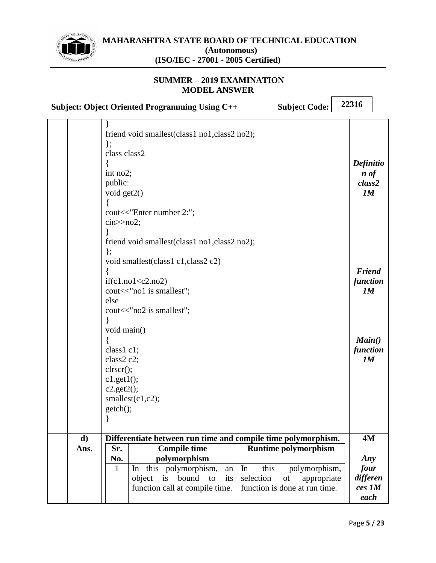

|                      | <b>Subject Code:</b><br><b>Subject: Object Oriented Programming Using C++</b>                                                                                                                                                     | 22316                                                   |
|----------------------|-----------------------------------------------------------------------------------------------------------------------------------------------------------------------------------------------------------------------------------|---------------------------------------------------------|
|                      | friend void smallest(class1 no1, class2 no2);<br>$\}$ ;<br>class class2<br>int no2;<br>public:<br>void get2()<br>cout<<"Enter number 2:";<br>$\text{cin} \geq \text{no2};$                                                        | <b>Definitio</b><br>$\boldsymbol{n}$ of<br>class2<br>1M |
|                      | friend void smallest(class1 no1, class2 no2);<br>$\}$ ;<br>void smallest(class1 c1, class2 c2)<br>if(c1.no1 < c2.no2)<br>cout << "no1 is smallest";<br>else<br>cout << "no2 is smallest";                                         | <b>Friend</b><br>function<br>1M                         |
|                      | void main()<br>class1 c1;<br>class2 c2;<br>clrscr();<br>$c1.get1()$ ;<br>$c2.get2()$ ;<br>smallest $(c1,c2)$ ;<br>getch();<br>∤                                                                                                   | Main()<br>function<br>1M                                |
| $\mathbf{d}$<br>Ans. | Differentiate between run time and compile time polymorphism.<br><b>Compile time</b><br><b>Runtime polymorphism</b><br>Sr.                                                                                                        | <b>4M</b>                                               |
|                      | polymorphism<br>No.<br>In this polymorphism,<br>In<br>1<br>this<br>polymorphism,<br>an<br>selection<br>is<br>bound<br>object<br>to<br>its<br>of<br>appropriate<br>function call at compile time.<br>function is done at run time. | Any<br>four<br>differen<br>ces 1M<br>each               |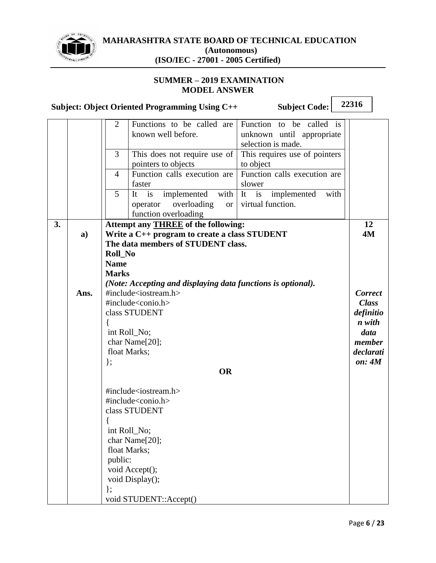

|    |      | <b>Subject Code:</b><br>Subject: Object Oriented Programming Using C++                                                                                                                                                                             | 22316                                                                                                              |
|----|------|----------------------------------------------------------------------------------------------------------------------------------------------------------------------------------------------------------------------------------------------------|--------------------------------------------------------------------------------------------------------------------|
|    |      | $\overline{2}$<br>Functions to be called are<br>Function to be called is<br>known well before.<br>unknown until appropriate<br>selection is made.                                                                                                  |                                                                                                                    |
|    |      | This requires use of pointers<br>3<br>This does not require use of<br>pointers to objects<br>to object                                                                                                                                             |                                                                                                                    |
|    |      | Function calls execution are<br>Function calls execution are<br>4<br>faster<br>slower                                                                                                                                                              |                                                                                                                    |
|    |      | 5<br>with $\begin{vmatrix} It & is \end{vmatrix}$<br>implemented<br>implemented<br>with<br>It<br>is<br>virtual function.<br>overloading<br><b>or</b><br>operator<br>function overloading                                                           |                                                                                                                    |
| 3. | a)   | Attempt any <b>THREE</b> of the following:<br>Write a C++ program to create a class STUDENT<br>The data members of STUDENT class.<br><b>Roll_No</b><br><b>Name</b><br><b>Marks</b><br>(Note: Accepting and displaying data functions is optional). | 12<br><b>4M</b>                                                                                                    |
|    | Ans. | #include <iostream.h><br/>#include<conio.h><br/>class STUDENT<br/>int Roll_No;<br/>char Name[20];<br/>float Marks;<br/><math>\}</math>;<br/><b>OR</b></conio.h></iostream.h>                                                                       | <b>Correct</b><br><b>Class</b><br>definitio<br>n with<br>data<br>member<br>declarati<br>$\mathbf{on}: \mathbf{4M}$ |
|    |      | #include <iostream.h><br/>#include<conio.h><br/>class STUDENT<br/>int Roll_No;<br/>char Name[20];<br/>float Marks;<br/>public:<br/>void Accept();<br/>void Display();<br/>};<br/>void STUDENT::Accept()</conio.h></iostream.h>                     |                                                                                                                    |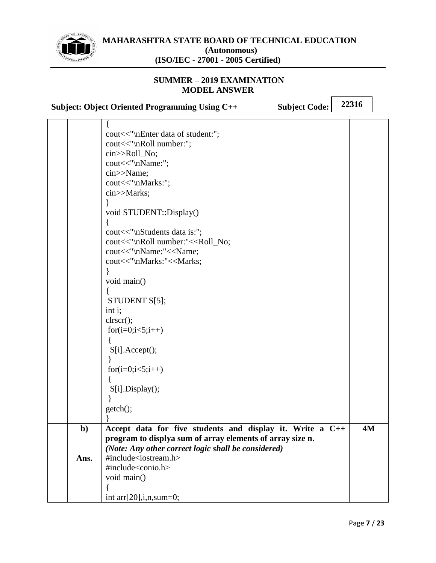

#### **SUMMER – 2019 EXAMINATION MODEL ANSWER**

|             | <b>Subject: Object Oriented Programming Using C++</b><br><b>Subject Code:</b>                                                                                                                                                                                                                                                                                                                                                                                                                                                                                      | 22316 |           |
|-------------|--------------------------------------------------------------------------------------------------------------------------------------------------------------------------------------------------------------------------------------------------------------------------------------------------------------------------------------------------------------------------------------------------------------------------------------------------------------------------------------------------------------------------------------------------------------------|-------|-----------|
|             | ſ.<br>cout<<"\nEnter data of student:";<br>cout<<"\nRoll number:";<br>cin>>Roll_No;<br>cout<<"\nName:";<br>cin>>Name;<br>cout<<"\nMarks:";<br>cin>>Marks;<br>void STUDENT::Display()<br>cout<<"\nStudents data is:";<br>cout<<"\nRoll number:"< <roll_no;<br>cout&lt;&lt;"\nName:"&lt;<name;<br>cout&lt;&lt;"\nMarks:"&lt;<marks;<br>void main()<br/>STUDENT S[5];<br/>int i;<br/>clrscr();<br/>for<math>(i=0; i&lt;5; i++)</math><br/>S[i].Accept();<br/>for<math>(i=0; i&lt;5; i++)</math><br/>S[i].Display();<br/>getch();</marks;<br></name;<br></roll_no;<br> |       |           |
| $b$<br>Ans. | Accept data for five students and display it. Write a C++<br>program to displya sum of array elements of array size n.<br>(Note: Any other correct logic shall be considered)<br>#include <iostream.h><br/>#include<conio.h><br/>void main()</conio.h></iostream.h>                                                                                                                                                                                                                                                                                                |       | <b>4M</b> |

int arr[20],i,n,sum=0;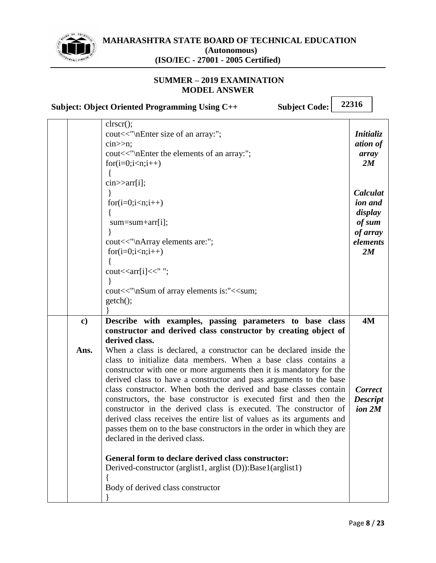

#### **SUMMER – 2019 EXAMINATION MODEL ANSWER**

**Subject: Object Oriented Programming Using C++ Subject Code:**

|               | clrscr();<br>cout<<"\nEnter size of an array:";<br>$\text{cin} \gg \text{n}$ ;<br>cout<<"\nEnter the elements of an array:";<br>$for(i=0;i\leq n;i++)$<br>$\text{cin} \geq \text{arr}[i];$                                                                                                                                                                                                                                                                                                                                                                                                                                                                                           | <i>Initializ</i><br>ation of<br>array<br>2M                            |
|---------------|--------------------------------------------------------------------------------------------------------------------------------------------------------------------------------------------------------------------------------------------------------------------------------------------------------------------------------------------------------------------------------------------------------------------------------------------------------------------------------------------------------------------------------------------------------------------------------------------------------------------------------------------------------------------------------------|------------------------------------------------------------------------|
|               | $for(i=0;isum = sum + arr[i];cout<<"\nArray elements are:";for(i=0;i\leq n;i++)$                                                                                                                                                                                                                                                                                                                                                                                                                                                                                                                                                                                                     | Calculat<br>ion and<br>display<br>of sum<br>of array<br>elements<br>2M |
|               | cout< <arr[i]<<" ";<br="">cout&lt;&lt;"\nSum of array elements is:"&lt;<sum;<br>getch();</sum;<br></arr[i]<<">                                                                                                                                                                                                                                                                                                                                                                                                                                                                                                                                                                       |                                                                        |
| $\mathbf{c})$ | Describe with examples, passing parameters to base class                                                                                                                                                                                                                                                                                                                                                                                                                                                                                                                                                                                                                             | 4M                                                                     |
|               | constructor and derived class constructor by creating object of<br>derived class.                                                                                                                                                                                                                                                                                                                                                                                                                                                                                                                                                                                                    |                                                                        |
| Ans.          | When a class is declared, a constructor can be declared inside the<br>class to initialize data members. When a base class contains a<br>constructor with one or more arguments then it is mandatory for the<br>derived class to have a constructor and pass arguments to the base<br>class constructor. When both the derived and base classes contain<br>constructors, the base constructor is executed first and then the<br>constructor in the derived class is executed. The constructor of<br>derived class receives the entire list of values as its arguments and<br>passes them on to the base constructors in the order in which they are<br>declared in the derived class. | <b>Correct</b><br><b>Descript</b><br>ion 2M                            |
|               | General form to declare derived class constructor:<br>Derived-constructor (arglist1, arglist (D)): Base1(arglist1)<br>Body of derived class constructor                                                                                                                                                                                                                                                                                                                                                                                                                                                                                                                              |                                                                        |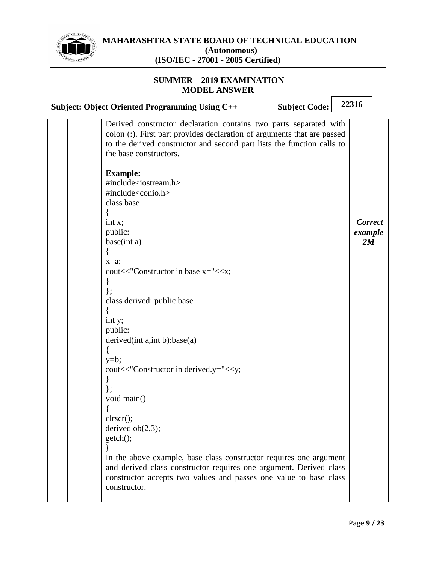

| <b>Subject: Object Oriented Programming Using C++</b>                                                                                                                                                                                                                                                                                                                                               | <b>Subject Code:</b> | 22316                           |  |
|-----------------------------------------------------------------------------------------------------------------------------------------------------------------------------------------------------------------------------------------------------------------------------------------------------------------------------------------------------------------------------------------------------|----------------------|---------------------------------|--|
| Derived constructor declaration contains two parts separated with<br>colon (:). First part provides declaration of arguments that are passed<br>to the derived constructor and second part lists the function calls to<br>the base constructors.                                                                                                                                                    |                      |                                 |  |
| <b>Example:</b><br>#include <iostream.h><br/>#include<conio.h><br/>class base<br/>int x;<br/>public:<br/>base(int a)<br/><math>\{</math><br/><math>x=a;</math><br/>cout&lt;&lt;"Constructor in base x="&lt;<x;<br><math>\}</math>;<br/>class derived: public base<br/>int y;<br/>public:<br/>derived <math>(int a, int b):base(a)</math><br/>₹<br/><math>y=b;</math></x;<br></conio.h></iostream.h> |                      | <b>Correct</b><br>example<br>2M |  |
| cout<<"Constructor in derived.y="< <y;<br><math>\}</math>;<br/>void main()<br/>clrscr();<br/>derived <math>ob(2,3)</math>;<br/><math>getch()</math>;<br/>In the above example, base class constructor requires one argument<br/>and derived class constructor requires one argument. Derived class<br/>constructor accepts two values and passes one value to base class<br/>constructor.</y;<br>   |                      |                                 |  |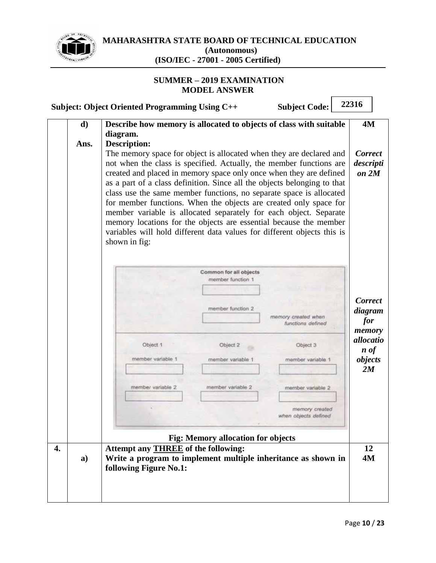

п

|    |      | <b>Subject: Object Oriented Programming Using C++</b>                                                                                           |                                             | <b>Subject Code:</b>                     | 22316                            |  |
|----|------|-------------------------------------------------------------------------------------------------------------------------------------------------|---------------------------------------------|------------------------------------------|----------------------------------|--|
|    | d)   | Describe how memory is allocated to objects of class with suitable                                                                              |                                             |                                          | 4M                               |  |
|    |      | diagram.                                                                                                                                        |                                             |                                          |                                  |  |
|    | Ans. | <b>Description:</b>                                                                                                                             |                                             |                                          |                                  |  |
|    |      | The memory space for object is allocated when they are declared and                                                                             |                                             |                                          | <b>Correct</b>                   |  |
|    |      | not when the class is specified. Actually, the member functions are                                                                             |                                             |                                          | descripti                        |  |
|    |      | created and placed in memory space only once when they are defined                                                                              |                                             |                                          | on 2M                            |  |
|    |      | as a part of a class definition. Since all the objects belonging to that<br>class use the same member functions, no separate space is allocated |                                             |                                          |                                  |  |
|    |      | for member functions. When the objects are created only space for                                                                               |                                             |                                          |                                  |  |
|    |      | member variable is allocated separately for each object. Separate                                                                               |                                             |                                          |                                  |  |
|    |      | memory locations for the objects are essential because the member                                                                               |                                             |                                          |                                  |  |
|    |      | variables will hold different data values for different objects this is                                                                         |                                             |                                          |                                  |  |
|    |      | shown in fig:                                                                                                                                   |                                             |                                          |                                  |  |
|    |      |                                                                                                                                                 |                                             |                                          |                                  |  |
|    |      |                                                                                                                                                 |                                             |                                          |                                  |  |
|    |      |                                                                                                                                                 | Common for all objects<br>member function 1 |                                          |                                  |  |
|    |      |                                                                                                                                                 |                                             |                                          |                                  |  |
|    |      |                                                                                                                                                 |                                             |                                          | <b>Correct</b>                   |  |
|    |      |                                                                                                                                                 | member function 2                           |                                          | diagram                          |  |
|    |      |                                                                                                                                                 |                                             | memory created when<br>functions defined | for                              |  |
|    |      |                                                                                                                                                 |                                             |                                          | memory                           |  |
|    |      | Object 1                                                                                                                                        | Object 2                                    | Object 3                                 | allocatio<br>$\boldsymbol{n}$ of |  |
|    |      | member variable 1                                                                                                                               | member variable 1                           | member variable                          | objects                          |  |
|    |      |                                                                                                                                                 |                                             |                                          | 2M                               |  |
|    |      |                                                                                                                                                 |                                             |                                          |                                  |  |
|    |      | member variable 2                                                                                                                               | member variable 2                           | member variable 2                        |                                  |  |
|    |      |                                                                                                                                                 |                                             | memory created                           |                                  |  |
|    |      |                                                                                                                                                 |                                             | when objects defined                     |                                  |  |
|    |      |                                                                                                                                                 |                                             |                                          |                                  |  |
|    |      |                                                                                                                                                 | <b>Fig: Memory allocation for objects</b>   |                                          |                                  |  |
| 4. |      | <b>Attempt any THREE of the following:</b>                                                                                                      |                                             |                                          | 12                               |  |
|    | a)   | Write a program to implement multiple inheritance as shown in                                                                                   |                                             |                                          | 4M                               |  |
|    |      | following Figure No.1:                                                                                                                          |                                             |                                          |                                  |  |
|    |      |                                                                                                                                                 |                                             |                                          |                                  |  |
|    |      |                                                                                                                                                 |                                             |                                          |                                  |  |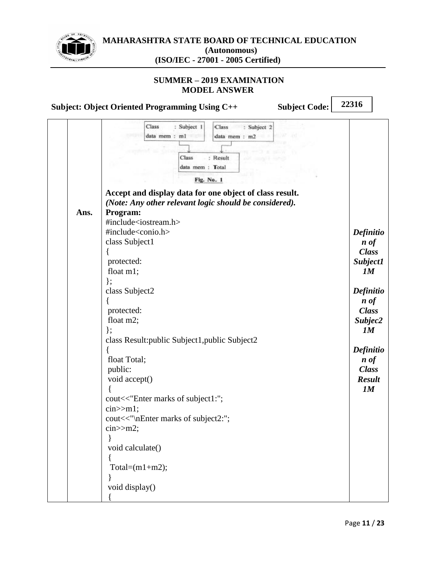

**MAHARASHTRA STATE BOARD OF TECHNICAL EDUCATION (Autonomous)**

**(ISO/IEC - 27001 - 2005 Certified)**

#### **SUMMER – 2019 EXAMINATION MODEL ANSWER**

**Subject: Object Oriented Programming Using C++ Subject Code:**

| Ans. | Class<br>: Subject 1<br>Class<br>: Subject 2<br>data mem : ml<br>data mem : m2<br>: Result<br>Class<br>data mem : Total<br>Fig. No. 1<br>Accept and display data for one object of class result.<br>(Note: Any other relevant logic should be considered).<br>Program:<br>#include <iostream.h><br/>#include<conio.h><br/>class Subject1<br/>protected:<br/>float m1;<br/><math>\}</math>;<br/>class Subject2<br/>protected:<br/>float m2;<br/>};<br/>class Result: public Subject1, public Subject2<br/>float Total;<br/>public:<br/>void accept()<br/>cout&lt;&lt;"Enter marks of subject1:";<br/><math>cin&gt;m1</math>;<br/>cout&lt;&lt;"\nEnter marks of subject2:";<br/><math>\text{cin} \gg \text{m2};</math><br/>ι<br/>void calculate()<br/>Total=<math>(m1+m2)</math>;<br/>void display()</conio.h></iostream.h> | <b>Definitio</b><br>$\boldsymbol{n}$ of<br><b>Class</b><br>Subject1<br>1M<br><b>Definitio</b><br>$\boldsymbol{n}$ of<br><b>Class</b><br>Subjec2<br>1M<br><b>Definitio</b><br>n of<br><b>Class</b><br><b>Result</b><br>1M |
|------|---------------------------------------------------------------------------------------------------------------------------------------------------------------------------------------------------------------------------------------------------------------------------------------------------------------------------------------------------------------------------------------------------------------------------------------------------------------------------------------------------------------------------------------------------------------------------------------------------------------------------------------------------------------------------------------------------------------------------------------------------------------------------------------------------------------------------|--------------------------------------------------------------------------------------------------------------------------------------------------------------------------------------------------------------------------|
|------|---------------------------------------------------------------------------------------------------------------------------------------------------------------------------------------------------------------------------------------------------------------------------------------------------------------------------------------------------------------------------------------------------------------------------------------------------------------------------------------------------------------------------------------------------------------------------------------------------------------------------------------------------------------------------------------------------------------------------------------------------------------------------------------------------------------------------|--------------------------------------------------------------------------------------------------------------------------------------------------------------------------------------------------------------------------|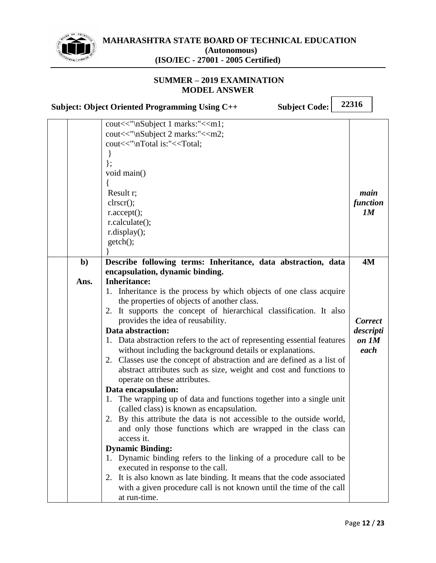

|              | <b>Subject Code:</b><br><b>Subject: Object Oriented Programming Using C++</b>                           | 22316          |
|--------------|---------------------------------------------------------------------------------------------------------|----------------|
|              | cout<<"\nSubject 1 marks:"< <m1;< th=""><th></th></m1;<>                                                |                |
|              | cout<<"\nSubject 2 marks:"< <m2;< th=""><th></th></m2;<>                                                |                |
|              | cout<<"\nTotal is:"< <total;< th=""><th></th></total;<>                                                 |                |
|              | ł                                                                                                       |                |
|              | $\}$ ;                                                                                                  |                |
|              | void main()                                                                                             |                |
|              |                                                                                                         |                |
|              | Result r;                                                                                               | main           |
|              | $\text{clrscr}$ $\text{c}}$ :                                                                           | function       |
|              | $r$ .accept $();$                                                                                       | 1M             |
|              | r.calculate();                                                                                          |                |
|              | r.display();                                                                                            |                |
|              | getch();                                                                                                |                |
|              |                                                                                                         |                |
| $\mathbf{b}$ | Describe following terms: Inheritance, data abstraction, data                                           | <b>4M</b>      |
|              | encapsulation, dynamic binding.                                                                         |                |
| Ans.         | <b>Inheritance:</b>                                                                                     |                |
|              | 1. Inheritance is the process by which objects of one class acquire                                     |                |
|              | the properties of objects of another class.                                                             |                |
|              | 2. It supports the concept of hierarchical classification. It also<br>provides the idea of reusability. | <b>Correct</b> |
|              | Data abstraction:                                                                                       | descripti      |
|              | 1. Data abstraction refers to the act of representing essential features                                | on 1M          |
|              | without including the background details or explanations.                                               | each           |
|              | 2. Classes use the concept of abstraction and are defined as a list of                                  |                |
|              | abstract attributes such as size, weight and cost and functions to                                      |                |
|              | operate on these attributes.                                                                            |                |
|              | Data encapsulation:                                                                                     |                |
|              | The wrapping up of data and functions together into a single unit<br>1.                                 |                |
|              | (called class) is known as encapsulation.                                                               |                |
|              | 2. By this attribute the data is not accessible to the outside world,                                   |                |
|              | and only those functions which are wrapped in the class can                                             |                |
|              | access it.                                                                                              |                |
|              | <b>Dynamic Binding:</b>                                                                                 |                |
|              | 1. Dynamic binding refers to the linking of a procedure call to be                                      |                |
|              | executed in response to the call.                                                                       |                |
|              | 2. It is also known as late binding. It means that the code associated                                  |                |
|              | with a given procedure call is not known until the time of the call                                     |                |
|              | at run-time.                                                                                            |                |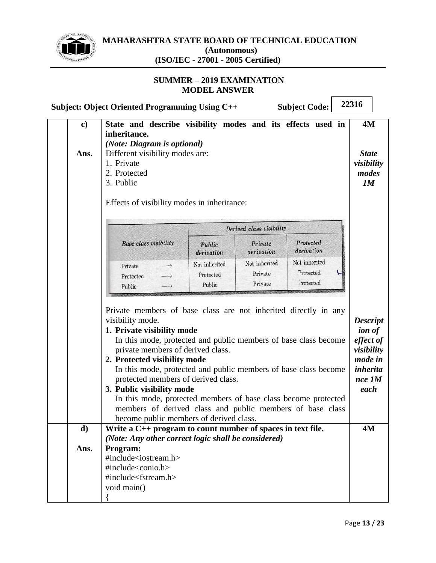

#### **SUMMER – 2019 EXAMINATION MODEL ANSWER**

|               | Subject: Object Oriented Programming Using C++                                                                                                                                                                                                                                                                                                                                                                                                                                                                                                                             |                                      |                                     | <b>Subject Code:</b>                    | 22316                                                                                                |
|---------------|----------------------------------------------------------------------------------------------------------------------------------------------------------------------------------------------------------------------------------------------------------------------------------------------------------------------------------------------------------------------------------------------------------------------------------------------------------------------------------------------------------------------------------------------------------------------------|--------------------------------------|-------------------------------------|-----------------------------------------|------------------------------------------------------------------------------------------------------|
| $\mathbf{c})$ | State and describe visibility modes and its effects used in<br>inheritance.                                                                                                                                                                                                                                                                                                                                                                                                                                                                                                |                                      |                                     |                                         | 4M                                                                                                   |
| Ans.          | (Note: Diagram is optional)<br>Different visibility modes are:<br>1. Private<br>visibility<br>2. Protected<br>3. Public<br>Effects of visibility modes in inheritance:                                                                                                                                                                                                                                                                                                                                                                                                     |                                      |                                     |                                         |                                                                                                      |
|               |                                                                                                                                                                                                                                                                                                                                                                                                                                                                                                                                                                            |                                      | Derived class visibility            |                                         |                                                                                                      |
|               | <b>Base class visibility</b>                                                                                                                                                                                                                                                                                                                                                                                                                                                                                                                                               | Public<br>derivation                 | Private<br>derivation               | Protected<br>derivation                 |                                                                                                      |
|               | Private<br>Protected<br>Public                                                                                                                                                                                                                                                                                                                                                                                                                                                                                                                                             | Not inherited<br>Protected<br>Public | Not inherited<br>Private<br>Private | Not inherited<br>Protected<br>Protected |                                                                                                      |
|               | Private members of base class are not inherited directly in any<br>visibility mode.<br>1. Private visibility mode<br>In this mode, protected and public members of base class become<br>private members of derived class.<br>2. Protected visibility mode<br>In this mode, protected and public members of base class become<br>protected members of derived class.<br>3. Public visibility mode<br>In this mode, protected members of base class become protected<br>members of derived class and public members of base class<br>become public members of derived class. |                                      |                                     |                                         | <b>Descript</b><br><i>ion of</i><br>effect of<br>visibility<br>mode in<br>inherita<br>nce 1M<br>each |
| d)            | Write a $C_{++}$ program to count number of spaces in text file.<br>(Note: Any other correct logic shall be considered)                                                                                                                                                                                                                                                                                                                                                                                                                                                    |                                      |                                     | 4M                                      |                                                                                                      |
| Ans.          | Program:<br>#include <iostream.h><br/>#include<conio.h><br/>#include<fstream.h><br/>void main()</fstream.h></conio.h></iostream.h>                                                                                                                                                                                                                                                                                                                                                                                                                                         |                                      |                                     |                                         |                                                                                                      |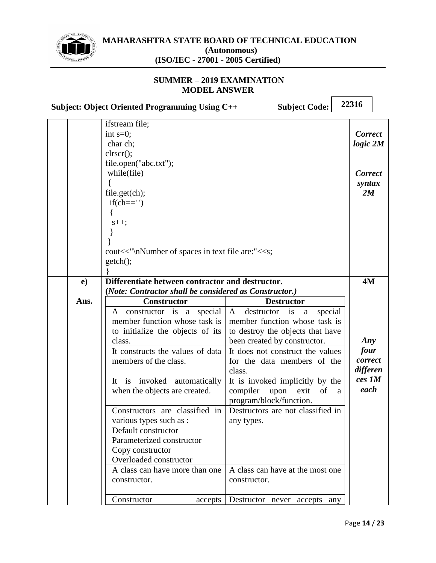

#### **SUMMER – 2019 EXAMINATION MODEL ANSWER**

**Subject: Object Oriented Programming Using C++ Subject Code:**

|                                                                                                           | ifstream file;<br>int $s=0$ ;<br>char ch;<br>clrscr();<br>file.open("abc.txt");<br>while(file)<br>file.get(ch);<br>$if(ch==')$<br>$s++;$                                  |                                                                                                                                                                                                                                 | <b>Correct</b><br>logic 2M<br><b>Correct</b><br>syntax<br>2M |
|-----------------------------------------------------------------------------------------------------------|---------------------------------------------------------------------------------------------------------------------------------------------------------------------------|---------------------------------------------------------------------------------------------------------------------------------------------------------------------------------------------------------------------------------|--------------------------------------------------------------|
|                                                                                                           | cout<<"\nNumber of spaces in text file are:"< <s;<br>getch();</s;<br>                                                                                                     |                                                                                                                                                                                                                                 |                                                              |
| e)                                                                                                        | Differentiate between contractor and destructor.                                                                                                                          |                                                                                                                                                                                                                                 | 4M                                                           |
| (Note: Contractor shall be considered as Constructor.)<br>Ans.<br><b>Destructor</b><br><b>Constructor</b> |                                                                                                                                                                           |                                                                                                                                                                                                                                 |                                                              |
|                                                                                                           | constructor is a special<br>A<br>member function whose task is<br>to initialize the objects of its<br>class.<br>It constructs the values of data<br>members of the class. | A<br>destructor is<br>special<br>$\mathbf{a}$<br>member function whose task is<br>to destroy the objects that have<br>been created by constructor.<br>It does not construct the values<br>for the data members of the<br>class. | Any<br>four<br>correct<br>differen                           |
|                                                                                                           | It is invoked automatically<br>when the objects are created.                                                                                                              | It is invoked implicitly by the<br>compiler<br>upon<br>exit<br>of<br>a<br>program/block/function.                                                                                                                               | ces 1M<br>each                                               |
|                                                                                                           | Constructors are classified in<br>various types such as :<br>Default constructor<br>Parameterized constructor<br>Copy constructor<br>Overloaded constructor               | Destructors are not classified in<br>any types.                                                                                                                                                                                 |                                                              |
|                                                                                                           | A class can have more than one<br>constructor.                                                                                                                            | A class can have at the most one<br>constructor.                                                                                                                                                                                |                                                              |
|                                                                                                           | Constructor<br>accepts                                                                                                                                                    | Destructor never<br>accepts any                                                                                                                                                                                                 |                                                              |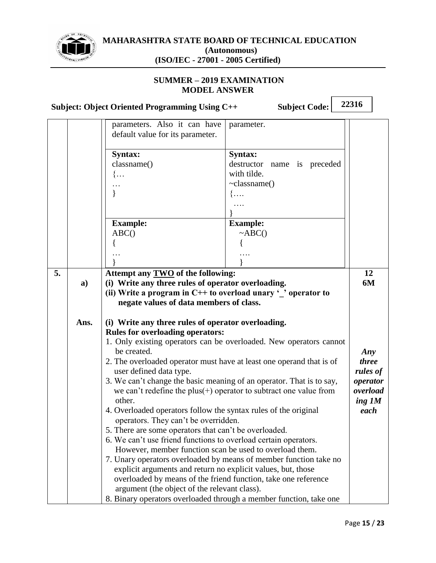

#### **SUMMER – 2019 EXAMINATION MODEL ANSWER**

**Subject: Object Oriented Programming Using C++ Subject Code: 22316** parameters. Also it can have default value for its parameter. parameter. **Syntax:** classname()  $\{...$ … } **Syntax:** destructor name is preceded with tilde. ~classname() {…. …. } **Example:**  $ABC()$ { … } **Example:**  $~\sim$ ABC $()$ { …. } **5. a) Ans. Attempt any TWO of the following: (i) Write any three rules of operator overloading. (ii) Write a program in C++ to overload unary '\_' operator to negate values of data members of class. (i) Write any three rules of operator overloading. Rules for overloading operators:** 1. Only existing operators can be overloaded. New operators cannot be created. 2. The overloaded operator must have at least one operand that is of user defined data type. 3. We can't change the basic meaning of an operator. That is to say, we can't redefine the plus $(+)$  operator to subtract one value from other. 4. Overloaded operators follow the syntax rules of the original **12 6M** *Any three rules of operator overload ing 1M each*

operators. They can't be overridden.

5. There are some operators that can't be overloaded.

argument (the object of the relevant class).

6. We can't use friend functions to overload certain operators. However, member function scan be used to overload them. 7. Unary operators overloaded by means of member function take no explicit arguments and return no explicit values, but, those overloaded by means of the friend function, take one reference

8. Binary operators overloaded through a member function, take one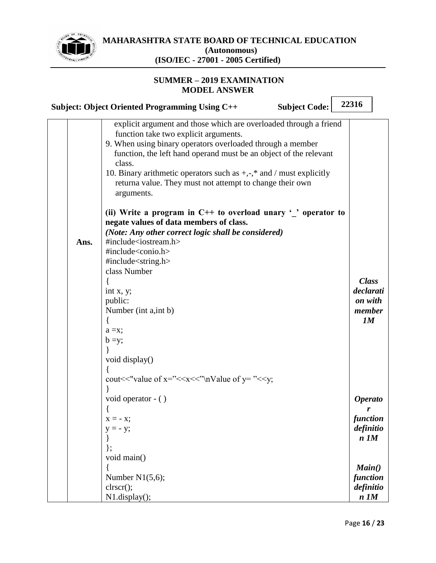

 $\sqrt{2}$ 

┑

|      | <b>Subject Code:</b><br>Subject: Object Oriented Programming Using C++                                                                                                                                                                                                                                                                                                                                                                                                                                                                                                                                                                                                                                                                                                                                                                                                                                                                                                                                                                                                    | 22316                                                |  |
|------|---------------------------------------------------------------------------------------------------------------------------------------------------------------------------------------------------------------------------------------------------------------------------------------------------------------------------------------------------------------------------------------------------------------------------------------------------------------------------------------------------------------------------------------------------------------------------------------------------------------------------------------------------------------------------------------------------------------------------------------------------------------------------------------------------------------------------------------------------------------------------------------------------------------------------------------------------------------------------------------------------------------------------------------------------------------------------|------------------------------------------------------|--|
| Ans. | explicit argument and those which are overloaded through a friend<br>function take two explicit arguments.<br>9. When using binary operators overloaded through a member<br>function, the left hand operand must be an object of the relevant<br>class.<br>10. Binary arithmetic operators such as $+,$ , $*$ and / must explicitly<br>returna value. They must not attempt to change their own<br>arguments.<br>(ii) Write a program in $C++$ to overload unary $\cdot$ operator to<br>negate values of data members of class.<br>(Note: Any other correct logic shall be considered)<br>#include <iostream.h><br/>#include<conio.h><br/>#include<string.h><br/>class Number<br/>int x, y;<br/>public:<br/>Number (int a, int b)<br/><math>a = x;</math><br/><math>b = y;</math><br/>void display()<br/>cout &lt;&lt; "value of x=" &lt;&lt; <math>x</math> &lt; <math>x</math> &lt; <math>x</math> \, <math>x</math> \, <math>x</math> \, <math>x</math> alue of <math>y</math> = " <math>\lt</math> <math>\lt</math> <math>y</math>;</string.h></conio.h></iostream.h> | <b>Class</b><br>declarati<br>on with<br>member<br>1M |  |
|      | void operator - ()                                                                                                                                                                                                                                                                                                                                                                                                                                                                                                                                                                                                                                                                                                                                                                                                                                                                                                                                                                                                                                                        | <b>Operato</b>                                       |  |
|      | $x = -x$ ;                                                                                                                                                                                                                                                                                                                                                                                                                                                                                                                                                                                                                                                                                                                                                                                                                                                                                                                                                                                                                                                                | <b>function</b>                                      |  |
|      | $y = -y;$                                                                                                                                                                                                                                                                                                                                                                                                                                                                                                                                                                                                                                                                                                                                                                                                                                                                                                                                                                                                                                                                 | definitio<br>$n$ $1M$                                |  |
|      |                                                                                                                                                                                                                                                                                                                                                                                                                                                                                                                                                                                                                                                                                                                                                                                                                                                                                                                                                                                                                                                                           |                                                      |  |
|      | void main()                                                                                                                                                                                                                                                                                                                                                                                                                                                                                                                                                                                                                                                                                                                                                                                                                                                                                                                                                                                                                                                               | Main()                                               |  |
|      | Number $N1(5,6)$ ;                                                                                                                                                                                                                                                                                                                                                                                                                                                                                                                                                                                                                                                                                                                                                                                                                                                                                                                                                                                                                                                        | function                                             |  |
|      | clrscr();<br>N1.display();                                                                                                                                                                                                                                                                                                                                                                                                                                                                                                                                                                                                                                                                                                                                                                                                                                                                                                                                                                                                                                                | definitio<br>$n$ $1M$                                |  |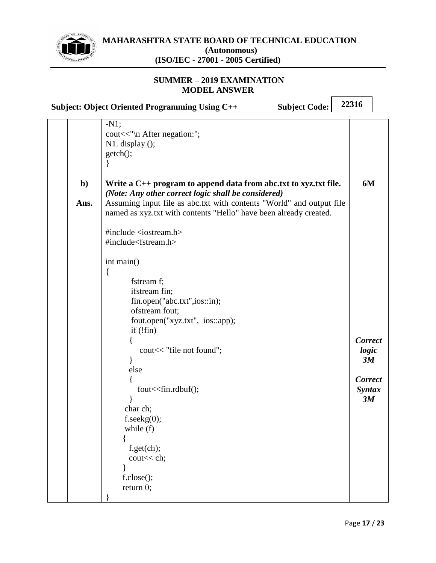

#### **SUMMER – 2019 EXAMINATION MODEL ANSWER**

**Subject: Object Oriented Programming Using C++ Subject Code: 22316**

|              | $-N1;$<br>cout << "\n After negation:";<br>$N1.$ display $()$ ;                                                                           |                                       |
|--------------|-------------------------------------------------------------------------------------------------------------------------------------------|---------------------------------------|
|              | getch();                                                                                                                                  |                                       |
| $\mathbf{b}$ | Write a $C_{++}$ program to append data from abc.txt to xyz.txt file.<br>(Note: Any other correct logic shall be considered)              | 6M                                    |
| Ans.         | Assuming input file as abc.txt with contents "World" and output file<br>named as xyz.txt with contents "Hello" have been already created. |                                       |
|              | #include $\langle$ iostream.h $>$<br>#include <fstream.h></fstream.h>                                                                     |                                       |
|              | int main()<br>$\{$                                                                                                                        |                                       |
|              | fstream f;<br>ifstream fin;<br>fin.open("abc.txt",ios::in);                                                                               |                                       |
|              | ofstream fout;<br>fout.open("xyz.txt", ios::app);<br>if $(\text{fin})$                                                                    |                                       |
|              | cout << "file not found";                                                                                                                 | <b>Correct</b><br>logic<br>3M         |
|              | else<br>fout << fin.rdbuf();                                                                                                              | <b>Correct</b><br><b>Syntax</b><br>3M |
|              | char ch;<br>f.seekg(0);<br>while (f)                                                                                                      |                                       |
|              | f.get(ch);<br>cout << ch;                                                                                                                 |                                       |
|              | f.close();<br>return $0$ ;                                                                                                                |                                       |
|              |                                                                                                                                           |                                       |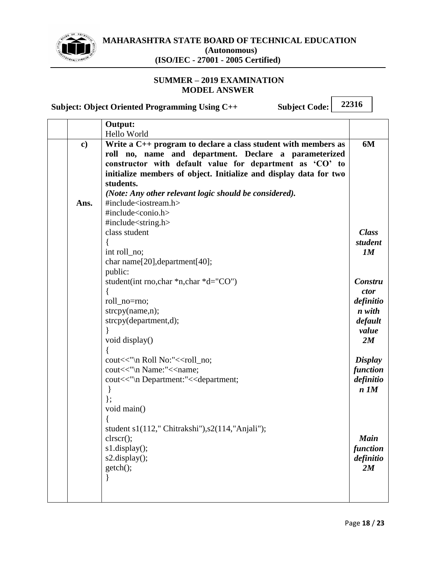

#### **SUMMER – 2019 EXAMINATION MODEL ANSWER**

**Subject: Object Oriented Programming Using C++ Subject Code:**

|               | Output:                                                                       |                |
|---------------|-------------------------------------------------------------------------------|----------------|
|               | Hello World                                                                   |                |
| $\mathbf{c})$ | Write a $C_{++}$ program to declare a class student with members as           | 6M             |
|               | roll no, name and department. Declare a parameterized                         |                |
|               | constructor with default value for department as 'CO' to                      |                |
|               | initialize members of object. Initialize and display data for two             |                |
|               | students.                                                                     |                |
|               | (Note: Any other relevant logic should be considered).                        |                |
| Ans.          | #include <iostream.h></iostream.h>                                            |                |
|               | #include <conio.h></conio.h>                                                  |                |
|               | #include <string.h></string.h>                                                |                |
|               | class student                                                                 | <b>Class</b>   |
|               |                                                                               | student        |
|               | int roll_no;                                                                  | 1M             |
|               | char name[20], department[40];                                                |                |
|               | public:                                                                       |                |
|               | student(int rno, char *n, char *d="CO")                                       | Constru        |
|               |                                                                               | ctor           |
|               | roll_no=rno;                                                                  | definitio      |
|               | strcpy(name,n);                                                               | n with         |
|               | strcpy(department,d);                                                         | default        |
|               |                                                                               | value          |
|               | void display()                                                                | 2M             |
|               |                                                                               |                |
|               | cout<<"\n Roll No:"< <roll_no;< th=""><th><b>Display</b></th></roll_no;<>     | <b>Display</b> |
|               | cout<<"\n Name:"< <name;< th=""><th>function</th></name;<>                    | function       |
|               | cout<<"\n Department:"< <department;< th=""><th>definitio</th></department;<> | definitio      |
|               | $\mathbf{\}$                                                                  | $n$ $1M$       |
|               | $\}$ ;                                                                        |                |
|               | void main()                                                                   |                |
|               |                                                                               |                |
|               | student $s1(112, "Chitrakshi"), s2(114, "Anjali");$                           |                |
|               | $\text{clrscr}$ $\text{c}}$                                                   | <b>Main</b>    |
|               | $s1$ .display $();$                                                           | function       |
|               | $s2.$ display $();$                                                           | definitio      |
|               | getch();                                                                      | 2M             |
|               |                                                                               |                |
|               |                                                                               |                |
|               |                                                                               |                |
|               |                                                                               |                |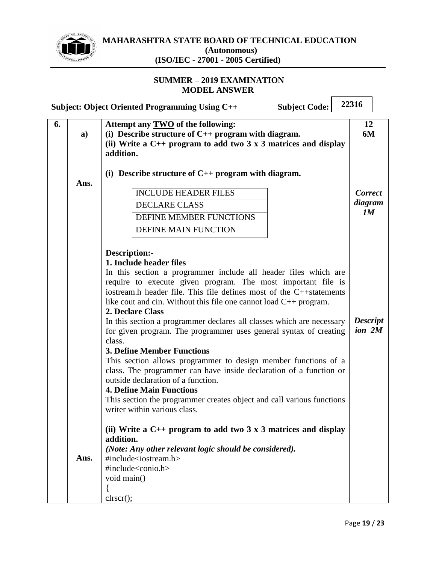

# **MAHARASHTRA STATE BOARD OF TECHNICAL EDUCATION**

 $\Gamma$ 

 $\overline{\mathbf{u}}$ 

**(Autonomous) (ISO/IEC - 27001 - 2005 Certified)**

| Attempt any TWO of the following:<br>12<br>6.<br>(i) Describe structure of $C_{++}$ program with diagram.<br>6M<br>a)<br>(ii) Write a $C_{++}$ program to add two 3 x 3 matrices and display<br>addition.<br>(i) Describe structure of $C_{++}$ program with diagram.<br>Ans.<br><b>INCLUDE HEADER FILES</b><br><b>Correct</b><br>diagram<br><b>DECLARE CLASS</b><br>1M<br>DEFINE MEMBER FUNCTIONS<br><b>DEFINE MAIN FUNCTION</b><br>Description:-<br>1. Include header files<br>In this section a programmer include all header files which are<br>require to execute given program. The most important file is<br>iostream.h header file. This file defines most of the C++statements<br>like cout and cin. Without this file one cannot load $C_{++}$ program.<br>2. Declare Class<br><b>Descript</b><br>In this section a programmer declares all classes which are necessary<br>ion 2M<br>for given program. The programmer uses general syntax of creating<br>class.<br><b>3. Define Member Functions</b><br>This section allows programmer to design member functions of a<br>class. The programmer can have inside declaration of a function or<br>outside declaration of a function.<br><b>4. Define Main Functions</b><br>This section the programmer creates object and call various functions<br>writer within various class.<br>(ii) Write a $C_{++}$ program to add two 3 x 3 matrices and display<br>addition.<br>(Note: Any other relevant logic should be considered).<br>Ans.<br>#include <iostream.h><br/>#include<conio.h><br/>void main()</conio.h></iostream.h> |  | <b>Subject Code:</b><br><b>Subject: Object Oriented Programming Using C++</b> | 22316 |  |  |
|---------------------------------------------------------------------------------------------------------------------------------------------------------------------------------------------------------------------------------------------------------------------------------------------------------------------------------------------------------------------------------------------------------------------------------------------------------------------------------------------------------------------------------------------------------------------------------------------------------------------------------------------------------------------------------------------------------------------------------------------------------------------------------------------------------------------------------------------------------------------------------------------------------------------------------------------------------------------------------------------------------------------------------------------------------------------------------------------------------------------------------------------------------------------------------------------------------------------------------------------------------------------------------------------------------------------------------------------------------------------------------------------------------------------------------------------------------------------------------------------------------------------------------------------------------------------------------------|--|-------------------------------------------------------------------------------|-------|--|--|
|                                                                                                                                                                                                                                                                                                                                                                                                                                                                                                                                                                                                                                                                                                                                                                                                                                                                                                                                                                                                                                                                                                                                                                                                                                                                                                                                                                                                                                                                                                                                                                                       |  |                                                                               |       |  |  |
|                                                                                                                                                                                                                                                                                                                                                                                                                                                                                                                                                                                                                                                                                                                                                                                                                                                                                                                                                                                                                                                                                                                                                                                                                                                                                                                                                                                                                                                                                                                                                                                       |  |                                                                               |       |  |  |
|                                                                                                                                                                                                                                                                                                                                                                                                                                                                                                                                                                                                                                                                                                                                                                                                                                                                                                                                                                                                                                                                                                                                                                                                                                                                                                                                                                                                                                                                                                                                                                                       |  |                                                                               |       |  |  |
|                                                                                                                                                                                                                                                                                                                                                                                                                                                                                                                                                                                                                                                                                                                                                                                                                                                                                                                                                                                                                                                                                                                                                                                                                                                                                                                                                                                                                                                                                                                                                                                       |  |                                                                               |       |  |  |
|                                                                                                                                                                                                                                                                                                                                                                                                                                                                                                                                                                                                                                                                                                                                                                                                                                                                                                                                                                                                                                                                                                                                                                                                                                                                                                                                                                                                                                                                                                                                                                                       |  |                                                                               |       |  |  |
|                                                                                                                                                                                                                                                                                                                                                                                                                                                                                                                                                                                                                                                                                                                                                                                                                                                                                                                                                                                                                                                                                                                                                                                                                                                                                                                                                                                                                                                                                                                                                                                       |  |                                                                               |       |  |  |
|                                                                                                                                                                                                                                                                                                                                                                                                                                                                                                                                                                                                                                                                                                                                                                                                                                                                                                                                                                                                                                                                                                                                                                                                                                                                                                                                                                                                                                                                                                                                                                                       |  |                                                                               |       |  |  |
|                                                                                                                                                                                                                                                                                                                                                                                                                                                                                                                                                                                                                                                                                                                                                                                                                                                                                                                                                                                                                                                                                                                                                                                                                                                                                                                                                                                                                                                                                                                                                                                       |  |                                                                               |       |  |  |
|                                                                                                                                                                                                                                                                                                                                                                                                                                                                                                                                                                                                                                                                                                                                                                                                                                                                                                                                                                                                                                                                                                                                                                                                                                                                                                                                                                                                                                                                                                                                                                                       |  |                                                                               |       |  |  |
|                                                                                                                                                                                                                                                                                                                                                                                                                                                                                                                                                                                                                                                                                                                                                                                                                                                                                                                                                                                                                                                                                                                                                                                                                                                                                                                                                                                                                                                                                                                                                                                       |  |                                                                               |       |  |  |
|                                                                                                                                                                                                                                                                                                                                                                                                                                                                                                                                                                                                                                                                                                                                                                                                                                                                                                                                                                                                                                                                                                                                                                                                                                                                                                                                                                                                                                                                                                                                                                                       |  |                                                                               |       |  |  |
|                                                                                                                                                                                                                                                                                                                                                                                                                                                                                                                                                                                                                                                                                                                                                                                                                                                                                                                                                                                                                                                                                                                                                                                                                                                                                                                                                                                                                                                                                                                                                                                       |  |                                                                               |       |  |  |
|                                                                                                                                                                                                                                                                                                                                                                                                                                                                                                                                                                                                                                                                                                                                                                                                                                                                                                                                                                                                                                                                                                                                                                                                                                                                                                                                                                                                                                                                                                                                                                                       |  |                                                                               |       |  |  |
|                                                                                                                                                                                                                                                                                                                                                                                                                                                                                                                                                                                                                                                                                                                                                                                                                                                                                                                                                                                                                                                                                                                                                                                                                                                                                                                                                                                                                                                                                                                                                                                       |  |                                                                               |       |  |  |
|                                                                                                                                                                                                                                                                                                                                                                                                                                                                                                                                                                                                                                                                                                                                                                                                                                                                                                                                                                                                                                                                                                                                                                                                                                                                                                                                                                                                                                                                                                                                                                                       |  |                                                                               |       |  |  |
|                                                                                                                                                                                                                                                                                                                                                                                                                                                                                                                                                                                                                                                                                                                                                                                                                                                                                                                                                                                                                                                                                                                                                                                                                                                                                                                                                                                                                                                                                                                                                                                       |  |                                                                               |       |  |  |
|                                                                                                                                                                                                                                                                                                                                                                                                                                                                                                                                                                                                                                                                                                                                                                                                                                                                                                                                                                                                                                                                                                                                                                                                                                                                                                                                                                                                                                                                                                                                                                                       |  |                                                                               |       |  |  |
|                                                                                                                                                                                                                                                                                                                                                                                                                                                                                                                                                                                                                                                                                                                                                                                                                                                                                                                                                                                                                                                                                                                                                                                                                                                                                                                                                                                                                                                                                                                                                                                       |  |                                                                               |       |  |  |
|                                                                                                                                                                                                                                                                                                                                                                                                                                                                                                                                                                                                                                                                                                                                                                                                                                                                                                                                                                                                                                                                                                                                                                                                                                                                                                                                                                                                                                                                                                                                                                                       |  |                                                                               |       |  |  |
|                                                                                                                                                                                                                                                                                                                                                                                                                                                                                                                                                                                                                                                                                                                                                                                                                                                                                                                                                                                                                                                                                                                                                                                                                                                                                                                                                                                                                                                                                                                                                                                       |  |                                                                               |       |  |  |
|                                                                                                                                                                                                                                                                                                                                                                                                                                                                                                                                                                                                                                                                                                                                                                                                                                                                                                                                                                                                                                                                                                                                                                                                                                                                                                                                                                                                                                                                                                                                                                                       |  |                                                                               |       |  |  |
|                                                                                                                                                                                                                                                                                                                                                                                                                                                                                                                                                                                                                                                                                                                                                                                                                                                                                                                                                                                                                                                                                                                                                                                                                                                                                                                                                                                                                                                                                                                                                                                       |  |                                                                               |       |  |  |
|                                                                                                                                                                                                                                                                                                                                                                                                                                                                                                                                                                                                                                                                                                                                                                                                                                                                                                                                                                                                                                                                                                                                                                                                                                                                                                                                                                                                                                                                                                                                                                                       |  |                                                                               |       |  |  |
|                                                                                                                                                                                                                                                                                                                                                                                                                                                                                                                                                                                                                                                                                                                                                                                                                                                                                                                                                                                                                                                                                                                                                                                                                                                                                                                                                                                                                                                                                                                                                                                       |  |                                                                               |       |  |  |
| clrscr();                                                                                                                                                                                                                                                                                                                                                                                                                                                                                                                                                                                                                                                                                                                                                                                                                                                                                                                                                                                                                                                                                                                                                                                                                                                                                                                                                                                                                                                                                                                                                                             |  |                                                                               |       |  |  |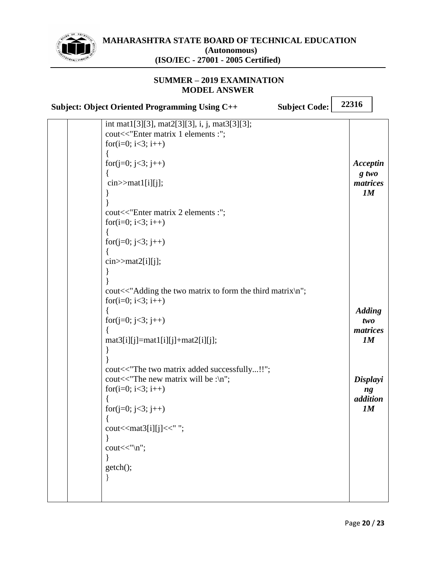

# **MAHARASHTRA STATE BOARD OF TECHNICAL EDUCATION (Autonomous)**

## **(ISO/IEC - 27001 - 2005 Certified)**

#### **SUMMER – 2019 EXAMINATION MODEL ANSWER**

| 22316<br>Subject: Object Oriented Programming Using C++<br><b>Subject Code:</b>                                                                                                                                                                                                                                                                                                                                                                                                                                                                                                                                                                                                                                           |                                                                                                                     |  |  |  |
|---------------------------------------------------------------------------------------------------------------------------------------------------------------------------------------------------------------------------------------------------------------------------------------------------------------------------------------------------------------------------------------------------------------------------------------------------------------------------------------------------------------------------------------------------------------------------------------------------------------------------------------------------------------------------------------------------------------------------|---------------------------------------------------------------------------------------------------------------------|--|--|--|
| int mat1[3][3], mat2[3][3], i, j, mat3[3][3];<br>cout<<"Enter matrix 1 elements :";<br>for( $i=0$ ; $i<3$ ; $i++$ )<br>for( $j=0$ ; $j<3$ ; $j++$ )<br>$cin$ > mat $1[i][j];$<br>cout<<"Enter matrix 2 elements :";<br>for( $i=0$ ; $i<3$ ; $i++$ )<br>for( $j=0$ ; $j<3$ ; $j++$ )<br>$\text{cin} \geq \text{mat2[i][j]};$<br>cout<<"Adding the two matrix to form the third matrix\n";<br>for(i=0; i<3; i++)<br>for(j=0; j<3; j++)<br>$mat3[i][j] = mat1[i][j] + mat2[i][j];$<br>cout<<"The two matrix added successfully!!";<br>cout $<<$ "The new matrix will be :\n";<br>for( $i=0$ ; $i<3$ ; $i++$ )<br>for( $j=0$ ; $j<3$ ; $j++)$<br>cout << mat3[i][j] << " ";<br>$\text{cout}<<''\n\backslash n"$ ;<br>getch(); | Acceptin<br>$g$ two<br>matrices<br>1M<br><b>Adding</b><br>two<br>matrices<br>1M<br>Displayi<br>ng<br>addition<br>1M |  |  |  |
|                                                                                                                                                                                                                                                                                                                                                                                                                                                                                                                                                                                                                                                                                                                           |                                                                                                                     |  |  |  |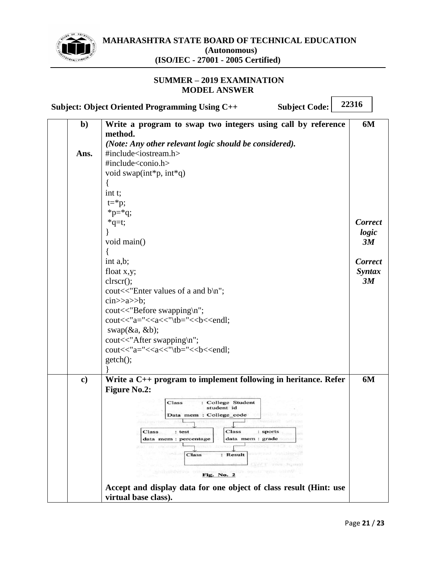

#### **SUMMER – 2019 EXAMINATION MODEL ANSWER**

**22316 Subject: Object Oriented Programming Using C++ Subject Code: Write a program to swap two integers using call by reference b) 6M method.** *(Note: Any other relevant logic should be considered).* #include<iostream.h> **Ans.** #include<conio.h> void swap(int\*p, int\*q) { int t;  $t = \nmid p;$  $*_{p=*q};$  $*q=t;$ *Correct*  } *logic*  void main() *3M* { int a,b; *Correct*  float x,y; *Syntax*  clrscr(); *3M* cout<<"Enter values of a and b\n";  $\text{cin} \rightarrow \text{a} \rightarrow \text{b};$ cout<<"Before swapping\n"; cout<<"a="<<a<<</><</><<a>t</></>\tb="<<br/><<br/>cb<<<<<<<<<<<<<<<<<<<<<<<<<<<<< swap(&a, &b); cout<<"After swapping\n";  $\text{cout}<$ getch(); } **c) Write a C++ program to implement following in heritance. Refer 6MFigure No.2:** : College Student<br>student id Class Data mem : College\_code **The State** Class  $: test$ Class : sports data mem : percentage data mem : grade : Result Class Fig. No. 2 **Accept and display data for one object of class result (Hint: use virtual base class).**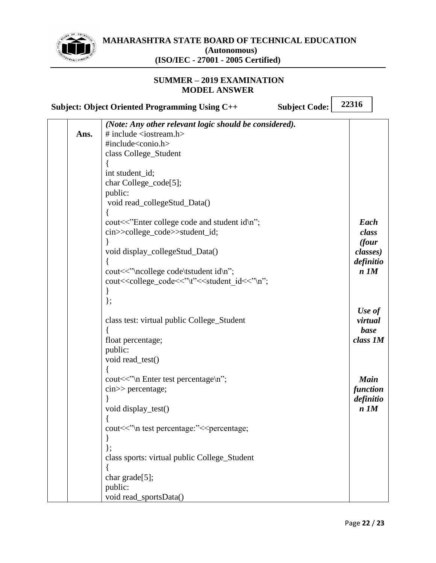

 $\overline{\phantom{0}}$ 

 $\overline{\phantom{a}}$ 

|      | <b>Subject: Object Oriented Programming Using C++</b>                                                                    | <b>Subject Code:</b> | 22316       |  |
|------|--------------------------------------------------------------------------------------------------------------------------|----------------------|-------------|--|
|      | (Note: Any other relevant logic should be considered).                                                                   |                      |             |  |
| Ans. | # include $\langle$ iostream.h $>$                                                                                       |                      |             |  |
|      | #include <conio.h></conio.h>                                                                                             |                      |             |  |
|      | class College_Student                                                                                                    |                      |             |  |
|      |                                                                                                                          |                      |             |  |
|      | int student_id;                                                                                                          |                      |             |  |
|      | char College_code[5];                                                                                                    |                      |             |  |
|      | public:                                                                                                                  |                      |             |  |
|      | void read_collegeStud_Data()                                                                                             |                      |             |  |
|      |                                                                                                                          |                      |             |  |
|      | cout<<"Enter college code and student id\n";                                                                             |                      | Each        |  |
|      | cin>>college_code>>student_id;                                                                                           |                      | class       |  |
|      |                                                                                                                          |                      | (four       |  |
|      | void display_collegeStud_Data()                                                                                          |                      | classes)    |  |
|      |                                                                                                                          |                      | definitio   |  |
|      | cout << "\ncollege code\tstudent id\n";                                                                                  |                      | $n$ $1M$    |  |
|      | cout< <college_code<<"\t"<<student_id<<"\n";< th=""><th></th><th></th><th></th></college_code<<"\t"<<student_id<<"\n";<> |                      |             |  |
|      |                                                                                                                          |                      |             |  |
|      | $\}$ ;                                                                                                                   |                      |             |  |
|      |                                                                                                                          |                      | Use of      |  |
|      | class test: virtual public College_Student                                                                               |                      | virtual     |  |
|      |                                                                                                                          |                      | base        |  |
|      | float percentage;<br>public:                                                                                             |                      | class 1M    |  |
|      | void read_test()                                                                                                         |                      |             |  |
|      |                                                                                                                          |                      |             |  |
|      | cout << "\n Enter test percentage\n";                                                                                    |                      | <b>Main</b> |  |
|      | $\text{cin} \gg \text{percentage}$ ;                                                                                     |                      | function    |  |
|      |                                                                                                                          |                      | definitio   |  |
|      | void display_test()                                                                                                      |                      | $n$ $1M$    |  |
|      |                                                                                                                          |                      |             |  |
|      | cout<<"\n test percentage:"< <percentage;< th=""><th></th><th></th><th></th></percentage;<>                              |                      |             |  |
|      |                                                                                                                          |                      |             |  |
|      |                                                                                                                          |                      |             |  |
|      | class sports: virtual public College_Student                                                                             |                      |             |  |
|      |                                                                                                                          |                      |             |  |
|      | char grade[5];                                                                                                           |                      |             |  |
|      | public:                                                                                                                  |                      |             |  |
|      | void read_sportsData()                                                                                                   |                      |             |  |